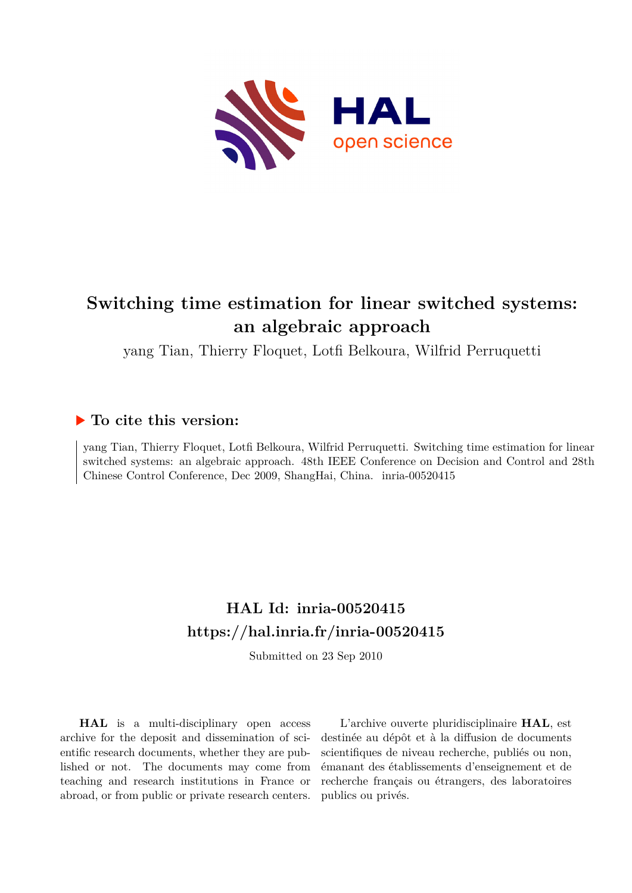

# **Switching time estimation for linear switched systems: an algebraic approach**

yang Tian, Thierry Floquet, Lotfi Belkoura, Wilfrid Perruquetti

# **To cite this version:**

yang Tian, Thierry Floquet, Lotfi Belkoura, Wilfrid Perruquetti. Switching time estimation for linear switched systems: an algebraic approach. 48th IEEE Conference on Decision and Control and 28th Chinese Control Conference, Dec 2009, ShangHai, China. inria-00520415

# **HAL Id: inria-00520415 <https://hal.inria.fr/inria-00520415>**

Submitted on 23 Sep 2010

**HAL** is a multi-disciplinary open access archive for the deposit and dissemination of scientific research documents, whether they are published or not. The documents may come from teaching and research institutions in France or abroad, or from public or private research centers.

L'archive ouverte pluridisciplinaire **HAL**, est destinée au dépôt et à la diffusion de documents scientifiques de niveau recherche, publiés ou non, émanant des établissements d'enseignement et de recherche français ou étrangers, des laboratoires publics ou privés.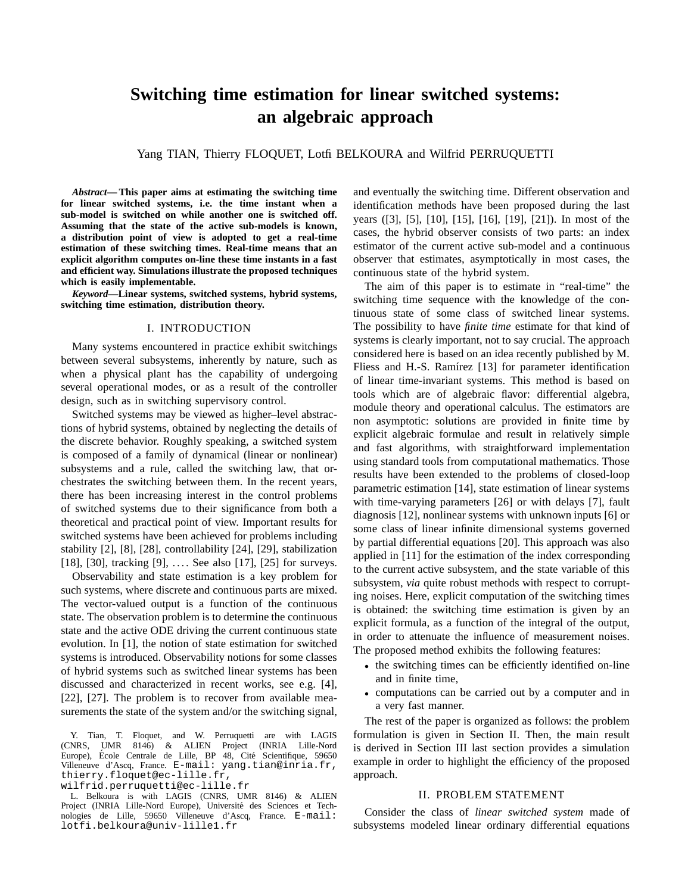# **Switching time estimation for linear switched systems: an algebraic approach**

Yang TIAN, Thierry FLOQUET, Lotfi BELKOURA and Wilfrid PERRUQUETTI

*Abstract***— This paper aims at estimating the switching time for linear switched systems, i.e. the time instant when a sub-model is switched on while another one is switched off. Assuming that the state of the active sub-models is known, a distribution point of view is adopted to get a real-time estimation of these switching times. Real-time means that an explicit algorithm computes on-line these time instants in a fast and efficient way. Simulations illustrate the proposed techniques which is easily implementable.**

*Keyword***—Linear systems, switched systems, hybrid systems, switching time estimation, distribution theory.**

## I. INTRODUCTION

Many systems encountered in practice exhibit switchings between several subsystems, inherently by nature, such as when a physical plant has the capability of undergoing several operational modes, or as a result of the controller design, such as in switching supervisory control.

Switched systems may be viewed as higher–level abstractions of hybrid systems, obtained by neglecting the details of the discrete behavior. Roughly speaking, a switched system is composed of a family of dynamical (linear or nonlinear) subsystems and a rule, called the switching law, that orchestrates the switching between them. In the recent years, there has been increasing interest in the control problems of switched systems due to their significance from both a theoretical and practical point of view. Important results for switched systems have been achieved for problems including stability [2], [8], [28], controllability [24], [29], stabilization [18], [30], tracking [9], .... See also [17], [25] for surveys.

Observability and state estimation is a key problem for such systems, where discrete and continuous parts are mixed. The vector-valued output is a function of the continuous state. The observation problem is to determine the continuous state and the active ODE driving the current continuous state evolution. In [1], the notion of state estimation for switched systems is introduced. Observability notions for some classes of hybrid systems such as switched linear systems has been discussed and characterized in recent works, see e.g. [4], [22], [27]. The problem is to recover from available measurements the state of the system and/or the switching signal,

Y. Tian, T. Floquet, and W. Perruquetti are with LAGIS (CNRS, UMR 8146) & ALIEN Project (INRIA Lille-Nord Europe), École Centrale de Lille, BP 48, Cité Scientifique, 59650 Villeneuve d'Ascq, France. E-mail: yang.tian@inria.fr, thierry.floquet@ec-lille.fr,

wilfrid.perruquetti@ec-lille.fr

L. Belkoura is with LAGIS (CNRS, UMR 8146) & ALIEN Project (INRIA Lille-Nord Europe), Université des Sciences et Technologies de Lille, 59650 Villeneuve d'Ascq, France. E-mail: lotfi.belkoura@univ-lille1.fr

and eventually the switching time. Different observation and identification methods have been proposed during the last years ([3], [5], [10], [15], [16], [19], [21]). In most of the cases, the hybrid observer consists of two parts: an index estimator of the current active sub-model and a continuous observer that estimates, asymptotically in most cases, the continuous state of the hybrid system.

The aim of this paper is to estimate in "real-time" the switching time sequence with the knowledge of the continuous state of some class of switched linear systems. The possibility to have *finite time* estimate for that kind of systems is clearly important, not to say crucial. The approach considered here is based on an idea recently published by M. Fliess and H.-S. Ramírez [13] for parameter identification of linear time-invariant systems. This method is based on tools which are of algebraic flavor: differential algebra, module theory and operational calculus. The estimators are non asymptotic: solutions are provided in finite time by explicit algebraic formulae and result in relatively simple and fast algorithms, with straightforward implementation using standard tools from computational mathematics. Those results have been extended to the problems of closed-loop parametric estimation [14], state estimation of linear systems with time-varying parameters [26] or with delays [7], fault diagnosis [12], nonlinear systems with unknown inputs [6] or some class of linear infinite dimensional systems governed by partial differential equations [20]. This approach was also applied in [11] for the estimation of the index corresponding to the current active subsystem, and the state variable of this subsystem, *via* quite robust methods with respect to corrupting noises. Here, explicit computation of the switching times is obtained: the switching time estimation is given by an explicit formula, as a function of the integral of the output, in order to attenuate the influence of measurement noises. The proposed method exhibits the following features:

- the switching times can be efficiently identified on-line and in finite time,
- computations can be carried out by a computer and in a very fast manner.

The rest of the paper is organized as follows: the problem formulation is given in Section II. Then, the main result is derived in Section III last section provides a simulation example in order to highlight the efficiency of the proposed approach.

#### II. PROBLEM STATEMENT

Consider the class of *linear switched system* made of subsystems modeled linear ordinary differential equations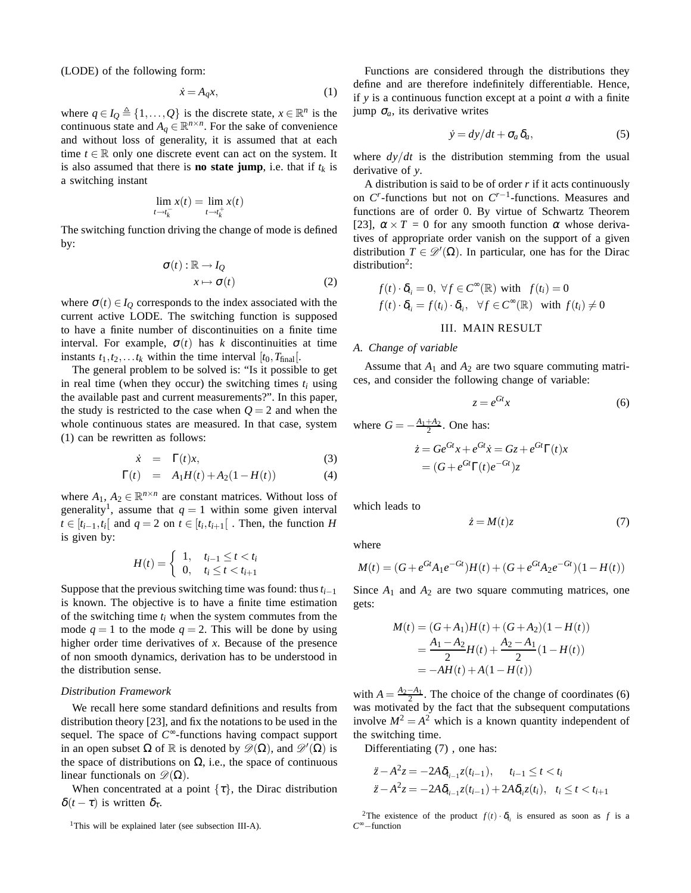(LODE) of the following form:

$$
\dot{x} = A_q x,\tag{1}
$$

where  $q \in I_Q \triangleq \{1, \ldots, Q\}$  is the discrete state,  $x \in \mathbb{R}^n$  is the continuous state and  $A_q \in \mathbb{R}^{n \times n}$ . For the sake of convenience and without loss of generality, it is assumed that at each time  $t \in \mathbb{R}$  only one discrete event can act on the system. It is also assumed that there is **no state jump**, i.e. that if  $t_k$  is a switching instant

$$
\lim_{t \to t_k^-} x(t) = \lim_{t \to t_k^+} x(t)
$$

The switching function driving the change of mode is defined by:

$$
\sigma(t) : \mathbb{R} \to I_Q
$$
  

$$
x \mapsto \sigma(t)
$$
 (2)

where  $\sigma(t) \in I_Q$  corresponds to the index associated with the current active LODE. The switching function is supposed to have a finite number of discontinuities on a finite time interval. For example,  $\sigma(t)$  has *k* discontinuities at time instants  $t_1, t_2, \ldots t_k$  within the time interval  $[t_0, T_{\text{final}}]$ .

The general problem to be solved is: "Is it possible to get in real time (when they occur) the switching times  $t_i$  using the available past and current measurements?". In this paper, the study is restricted to the case when  $Q = 2$  and when the whole continuous states are measured. In that case, system (1) can be rewritten as follows:

$$
\dot{x} = \Gamma(t)x,\tag{3}
$$

$$
\Gamma(t) = A_1 H(t) + A_2 (1 - H(t)) \tag{4}
$$

where  $A_1, A_2 \in \mathbb{R}^{n \times n}$  are constant matrices. Without loss of generality<sup>1</sup>, assume that  $q = 1$  within some given interval *t* ∈  $[t_{i-1}, t_i]$  and  $q = 2$  on  $t \in [t_i, t_{i+1}]$ . Then, the function *H* is given by:

$$
H(t) = \begin{cases} 1, & t_{i-1} \le t < t_i \\ 0, & t_i \le t < t_{i+1} \end{cases}
$$

Suppose that the previous switching time was found: thus  $t_{i-1}$ is known. The objective is to have a finite time estimation of the switching time *t<sup>i</sup>* when the system commutes from the mode  $q = 1$  to the mode  $q = 2$ . This will be done by using higher order time derivatives of *x*. Because of the presence of non smooth dynamics, derivation has to be understood in the distribution sense.

# *Distribution Framework*

We recall here some standard definitions and results from distribution theory [23], and fix the notations to be used in the sequel. The space of *C*<sup>∞</sup>-functions having compact support in an open subset  $\Omega$  of  $\mathbb R$  is denoted by  $\mathscr D(\Omega)$ , and  $\mathscr D'(\Omega)$  is the space of distributions on  $\Omega$ , i.e., the space of continuous linear functionals on  $\mathscr{D}(\Omega)$ .

When concentrated at a point  $\{\tau\}$ , the Dirac distribution  $\delta(t-\tau)$  is written  $\delta_{\tau}$ .

<sup>1</sup>This will be explained later (see subsection III-A).

Functions are considered through the distributions they define and are therefore indefinitely differentiable. Hence, if *y* is a continuous function except at a point *a* with a finite jump  $\sigma_a$ , its derivative writes

$$
\dot{y} = dy/dt + \sigma_a \,\delta_a,\tag{5}
$$

where  $dy/dt$  is the distribution stemming from the usual derivative of *y*.

A distribution is said to be of order *r* if it acts continuously on  $C^r$ -functions but not on  $C^{r-1}$ -functions. Measures and functions are of order 0. By virtue of Schwartz Theorem [23],  $\alpha \times T = 0$  for any smooth function  $\alpha$  whose derivatives of appropriate order vanish on the support of a given distribution  $T \in \mathcal{D}'(\Omega)$ . In particular, one has for the Dirac  $distribution<sup>2</sup>$ :

$$
f(t) \cdot \delta_{t_i} = 0, \ \forall f \in C^{\infty}(\mathbb{R}) \ \text{with} \ \ f(t_i) = 0
$$
  

$$
f(t) \cdot \delta_{t_i} = f(t_i) \cdot \delta_{t_i}, \ \ \forall f \in C^{\infty}(\mathbb{R}) \ \text{with} \ f(t_i) \neq 0
$$

# III. MAIN RESULT

## *A. Change of variable*

Assume that  $A_1$  and  $A_2$  are two square commuting matrices, and consider the following change of variable:

$$
z = e^{Gt}x\tag{6}
$$

where  $G = -\frac{A_1 + A_2}{2}$ . One has:

$$
\dot{z} = Ge^{Gt}x + e^{Gt}\dot{x} = Gz + e^{Gt}\Gamma(t)x
$$

$$
= (G + e^{Gt}\Gamma(t)e^{-Gt})z
$$

which leads to

$$
\dot{z} = M(t)z\tag{7}
$$

where

$$
M(t) = (G + e^{Gt} A_1 e^{-Gt}) H(t) + (G + e^{Gt} A_2 e^{-Gt}) (1 - H(t))
$$

Since  $A_1$  and  $A_2$  are two square commuting matrices, one gets:

$$
M(t) = (G + A_1)H(t) + (G + A_2)(1 - H(t))
$$
  
= 
$$
\frac{A_1 - A_2}{2}H(t) + \frac{A_2 - A_1}{2}(1 - H(t))
$$
  
= 
$$
-AH(t) + A(1 - H(t))
$$

with  $A = \frac{A_2 - A_1}{2}$ . The choice of the change of coordinates (6) was motivated by the fact that the subsequent computations involve  $M^2 = A^2$  which is a known quantity independent of the switching time.

Differentiating (7) , one has:

$$
\begin{aligned} \ddot{z} - A^2 z &= -2A \delta_{t_{i-1}} z(t_{i-1}), \qquad t_{i-1} \le t < t_i \\ \ddot{z} - A^2 z &= -2A \delta_{t_{i-1}} z(t_{i-1}) + 2A \delta_{t_i} z(t_i), \quad t_i \le t < t_{i+1} \end{aligned}
$$

<sup>2</sup>The existence of the product  $f(t) \cdot \delta_{t_i}$  is ensured as soon as *f* is a *C* <sup>∞</sup>−function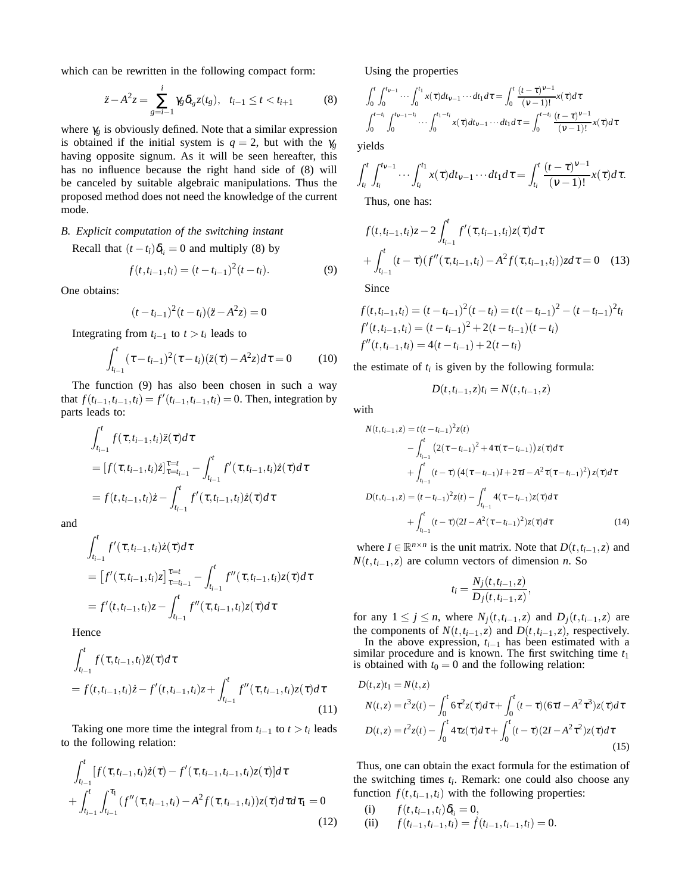which can be rewritten in the following compact form:

$$
\ddot{z} - A^2 z = \sum_{g=i-1}^{i} \gamma_g \delta_{t_g} z(t_g), \quad t_{i-1} \le t < t_{i+1} \tag{8}
$$

where  $\gamma_g$  is obviously defined. Note that a similar expression is obtained if the initial system is  $q = 2$ , but with the  $\gamma_g$ having opposite signum. As it will be seen hereafter, this has no influence because the right hand side of (8) will be canceled by suitable algebraic manipulations. Thus the proposed method does not need the knowledge of the current mode.

# *B. Explicit computation of the switching instant* Recall that  $(t - t_i)\delta_{t_i} = 0$  and multiply (8) by

$$
f(t, t_{i-1}, t_i) = (t - t_{i-1})^2 (t - t_i).
$$
\n(9)

One obtains:

$$
(t - t_{i-1})^2 (t - t_i)(\ddot{z} - A^2 z) = 0
$$

Integrating from  $t_{i-1}$  to  $t > t_i$  leads to

$$
\int_{t_{i-1}}^{t} (\tau - t_{i-1})^2 (\tau - t_i) (\ddot{z}(\tau) - A^2 z) d\tau = 0 \qquad (10)
$$

The function (9) has also been chosen in such a way that  $f(t_{i-1}, t_{i-1}, t_i) = f'(t_{i-1}, t_{i-1}, t_i) = 0$ . Then, integration by parts leads to:

$$
\int_{t_{i-1}}^{t} f(\tau, t_{i-1}, t_i) \ddot{z}(\tau) d\tau
$$
\n
$$
= [f(\tau, t_{i-1}, t_i) \dot{z}]_{\tau = t_{i-1}}^{\tau = t} - \int_{t_{i-1}}^{t} f'(\tau, t_{i-1}, t_i) \dot{z}(\tau) d\tau
$$
\n
$$
= f(t, t_{i-1}, t_i) \dot{z} - \int_{t_{i-1}}^{t} f'(\tau, t_{i-1}, t_i) \dot{z}(\tau) d\tau
$$

and

$$
\int_{t_{i-1}}^{t} f'(\tau, t_{i-1}, t_i) \dot{z}(\tau) d\tau
$$
\n
$$
= \left[ f'(\tau, t_{i-1}, t_i) z \right]_{\tau = t_{i-1}}^{\tau = t} - \int_{t_{i-1}}^{t} f''(\tau, t_{i-1}, t_i) z(\tau) d\tau
$$
\n
$$
= f'(t, t_{i-1}, t_i) z - \int_{t_{i-1}}^{t} f''(\tau, t_{i-1}, t_i) z(\tau) d\tau
$$

Hence

$$
\int_{t_{i-1}}^{t} f(\tau, t_{i-1}, t_i) \ddot{z}(\tau) d\tau
$$
\n
$$
= f(t, t_{i-1}, t_i) \dot{z} - f'(t, t_{i-1}, t_i) z + \int_{t_{i-1}}^{t} f''(\tau, t_{i-1}, t_i) z(\tau) d\tau
$$
\n(11)

Taking one more time the integral from  $t_{i-1}$  to  $t > t_i$  leads to the following relation:

$$
\int_{t_{i-1}}^{t} [f(\tau, t_{i-1}, t_i)\dot{z}(\tau) - f'(\tau, t_{i-1}, t_{i-1}, t_i)z(\tau)]d\tau + \int_{t_{i-1}}^{t} \int_{t_{i-1}}^{\tau_1} (f''(\tau, t_{i-1}, t_i) - A^2 f(\tau, t_{i-1}, t_i))z(\tau)d\tau d\tau_1 = 0
$$
\n(12)

Using the properties

$$
\int_0^t \int_0^{t_{\nu-1}} \cdots \int_0^{t_1} x(\tau) dt_{\nu-1} \cdots dt_1 d\tau = \int_0^t \frac{(t-\tau)^{\nu-1}}{(\nu-1)!} x(\tau) d\tau
$$
  

$$
\int_0^{t-t_i} \int_0^{t_{\nu-1}-t_i} \cdots \int_0^{t_1-t_i} x(\tau) dt_{\nu-1} \cdots dt_1 d\tau = \int_0^{t-t_i} \frac{(t-\tau)^{\nu-1}}{(\nu-1)!} x(\tau) d\tau
$$

yields

$$
\int_{t_i}^t \int_{t_i}^{t_{\nu-1}} \cdots \int_{t_i}^{t_1} x(\tau) dt_{\nu-1} \cdots dt_1 d\tau = \int_{t_i}^t \frac{(t-\tau)^{\nu-1}}{(\nu-1)!} x(\tau) d\tau.
$$

Thus, one has:

$$
f(t, t_{i-1}, t_i)z - 2\int_{t_{i-1}}^t f'(\tau, t_{i-1}, t_i)z(\tau)d\tau
$$
  
+ 
$$
\int_{t_{i-1}}^t (t-\tau)(f''(\tau, t_{i-1}, t_i) - A^2 f(\tau, t_{i-1}, t_i))z d\tau = 0
$$
 (13)

Since

$$
f(t, t_{i-1}, t_i) = (t - t_{i-1})^2 (t - t_i) = t(t - t_{i-1})^2 - (t - t_{i-1})^2 t_i
$$
  
\n
$$
f'(t, t_{i-1}, t_i) = (t - t_{i-1})^2 + 2(t - t_{i-1})(t - t_i)
$$
  
\n
$$
f''(t, t_{i-1}, t_i) = 4(t - t_{i-1}) + 2(t - t_i)
$$

the estimate of  $t_i$  is given by the following formula:

$$
D(t,t_{i-1},z)t_i = N(t,t_{i-1},z)
$$

with

$$
N(t, t_{i-1}, z) = t(t - t_{i-1})^2 z(t)
$$
  
\n
$$
- \int_{t_{i-1}}^t (2(\tau - t_{i-1})^2 + 4\tau(\tau - t_{i-1})) z(\tau) d\tau
$$
  
\n
$$
+ \int_{t_{i-1}}^t (t - \tau) (4(\tau - t_{i-1})t + 2\tau I - A^2 \tau(\tau - t_{i-1})^2) z(\tau) d\tau
$$
  
\n
$$
D(t, t_{i-1}, z) = (t - t_{i-1})^2 z(t) - \int_{t_{i-1}}^t 4(\tau - t_{i-1}) z(\tau) d\tau
$$
  
\n
$$
+ \int_{t_{i-1}}^t (t - \tau) (2I - A^2(\tau - t_{i-1})^2) z(\tau) d\tau
$$
 (14)

where  $I \in \mathbb{R}^{n \times n}$  is the unit matrix. Note that  $D(t, t_{i-1}, z)$  and  $N(t, t_{i-1}, z)$  are column vectors of dimension *n*. So

$$
t_i = \frac{N_j(t, t_{i-1}, z)}{D_j(t, t_{i-1}, z)},
$$

for any  $1 \leq j \leq n$ , where  $N_j(t,t_{i-1},z)$  and  $D_j(t,t_{i-1},z)$  are the components of  $N(t, t_{i-1}, z)$  and  $D(t, t_{i-1}, z)$ , respectively.

In the above expression, *ti*−<sup>1</sup> has been estimated with a similar procedure and is known. The first switching time *t*<sup>1</sup> is obtained with  $t_0 = 0$  and the following relation:

$$
D(t, z)t_1 = N(t, z)
$$
  
\n
$$
N(t, z) = t^3 z(t) - \int_0^t 6\tau^2 z(\tau) d\tau + \int_0^t (t - \tau)(6\tau I - A^2 \tau^3) z(\tau) d\tau
$$
  
\n
$$
D(t, z) = t^2 z(t) - \int_0^t 4\tau z(\tau) d\tau + \int_0^t (t - \tau)(2I - A^2 \tau^2) z(\tau) d\tau
$$
\n(15)

Thus, one can obtain the exact formula for the estimation of the switching times *t<sup>i</sup>* . Remark: one could also choose any function  $f(t, t_{i-1}, t_i)$  with the following properties:

(i) 
$$
f(t, t_{i-1}, t_i) \delta_{t_i} = 0,
$$
  
\n(ii)  $f(t_{i-1}, t_{i-1}, t_i) = \dot{f}(t_{i-1}, t_{i-1}, t_i) = 0.$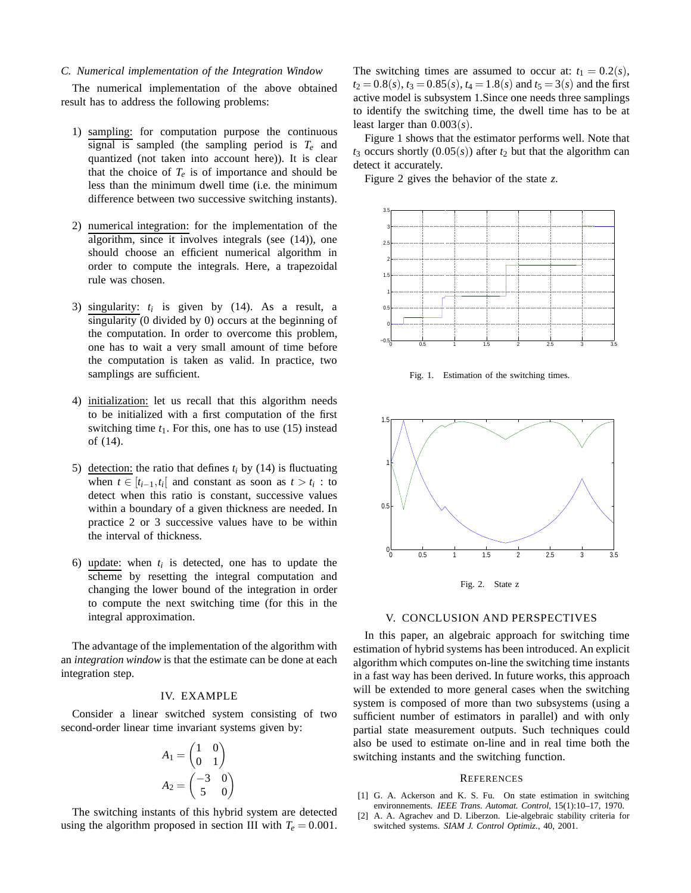#### *C. Numerical implementation of the Integration Window*

The numerical implementation of the above obtained result has to address the following problems:

- 1) sampling: for computation purpose the continuous signal is sampled (the sampling period is *T<sup>e</sup>* and quantized (not taken into account here)). It is clear that the choice of  $T_e$  is of importance and should be less than the minimum dwell time (i.e. the minimum difference between two successive switching instants).
- 2) numerical integration: for the implementation of the algorithm, since it involves integrals (see (14)), one should choose an efficient numerical algorithm in order to compute the integrals. Here, a trapezoidal rule was chosen.
- 3) singularity:  $t_i$  is given by  $(14)$ . As a result, a singularity (0 divided by 0) occurs at the beginning of the computation. In order to overcome this problem, one has to wait a very small amount of time before the computation is taken as valid. In practice, two samplings are sufficient.
- 4) initialization: let us recall that this algorithm needs to be initialized with a first computation of the first switching time  $t_1$ . For this, one has to use  $(15)$  instead of (14).
- 5) detection: the ratio that defines  $t_i$  by (14) is fluctuating when  $t \in [t_{i-1}, t_i]$  and constant as soon as  $t > t_i$ : to detect when this ratio is constant, successive values within a boundary of a given thickness are needed. In practice 2 or 3 successive values have to be within the interval of thickness.
- 6) update: when  $t_i$  is detected, one has to update the scheme by resetting the integral computation and changing the lower bound of the integration in order to compute the next switching time (for this in the integral approximation.

The advantage of the implementation of the algorithm with an *integration window* is that the estimate can be done at each integration step.

## IV. EXAMPLE

Consider a linear switched system consisting of two second-order linear time invariant systems given by:

$$
A_1 = \begin{pmatrix} 1 & 0 \\ 0 & 1 \end{pmatrix}
$$

$$
A_2 = \begin{pmatrix} -3 & 0 \\ 5 & 0 \end{pmatrix}
$$

The switching instants of this hybrid system are detected using the algorithm proposed in section III with  $T_e = 0.001$ . The switching times are assumed to occur at:  $t_1 = 0.2(s)$ ,  $t_2 = 0.8(s)$ ,  $t_3 = 0.85(s)$ ,  $t_4 = 1.8(s)$  and  $t_5 = 3(s)$  and the first active model is subsystem 1.Since one needs three samplings to identify the switching time, the dwell time has to be at least larger than 0.003(*s*).

Figure 1 shows that the estimator performs well. Note that  $t_3$  occurs shortly (0.05(s)) after  $t_2$  but that the algorithm can detect it accurately.

Figure 2 gives the behavior of the state *z*.



Fig. 1. Estimation of the switching times.



Fig. 2. State z

### V. CONCLUSION AND PERSPECTIVES

In this paper, an algebraic approach for switching time estimation of hybrid systems has been introduced. An explicit algorithm which computes on-line the switching time instants in a fast way has been derived. In future works, this approach will be extended to more general cases when the switching system is composed of more than two subsystems (using a sufficient number of estimators in parallel) and with only partial state measurement outputs. Such techniques could also be used to estimate on-line and in real time both the switching instants and the switching function.

#### **REFERENCES**

- [1] G. A. Ackerson and K. S. Fu. On state estimation in switching environnements. *IEEE Trans. Automat. Control*, 15(1):10–17, 1970.
- [2] A. A. Agrachev and D. Liberzon. Lie-algebraic stability criteria for switched systems. *SIAM J. Control Optimiz.*, 40, 2001.